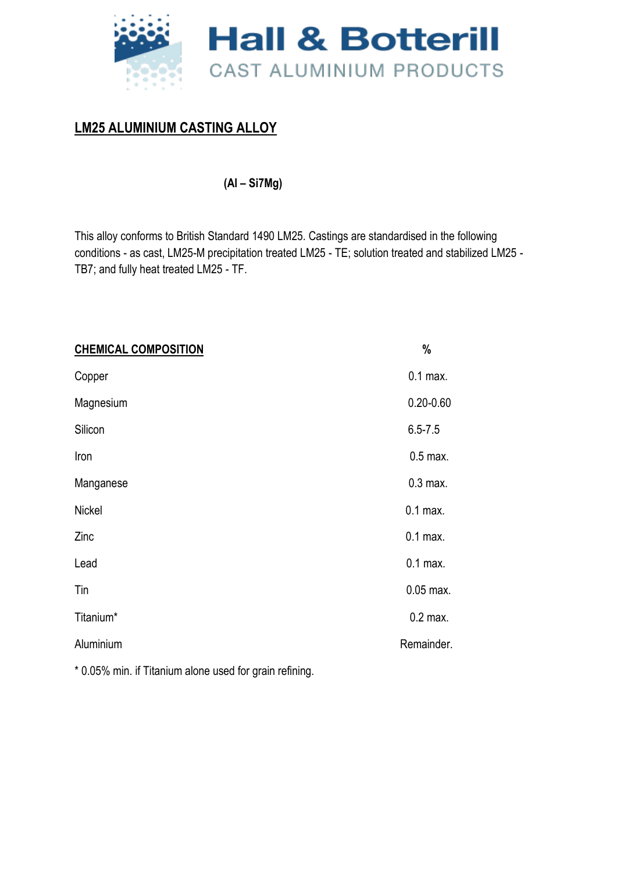

## **LM25 ALUMINIUM CASTING ALLOY**

**(Al – Si7Mg)** 

This alloy conforms to British Standard 1490 LM25. Castings are standardised in the following conditions - as cast, LM25-M precipitation treated LM25 - TE; solution treated and stabilized LM25 - TB7; and fully heat treated LM25 - TF.

| <b>CHEMICAL COMPOSITION</b> | $\%$          |
|-----------------------------|---------------|
| Copper                      | $0.1$ max.    |
| Magnesium                   | $0.20 - 0.60$ |
| Silicon                     | $6.5 - 7.5$   |
| Iron                        | $0.5$ max.    |
| Manganese                   | $0.3$ max.    |
| <b>Nickel</b>               | $0.1$ max.    |
| Zinc                        | $0.1$ max.    |
| Lead                        | $0.1$ max.    |
| Tin                         | 0.05 max.     |
| Titanium*                   | $0.2$ max.    |
| Aluminium                   | Remainder.    |
|                             |               |

\* 0.05% min. if Titanium alone used for grain refining.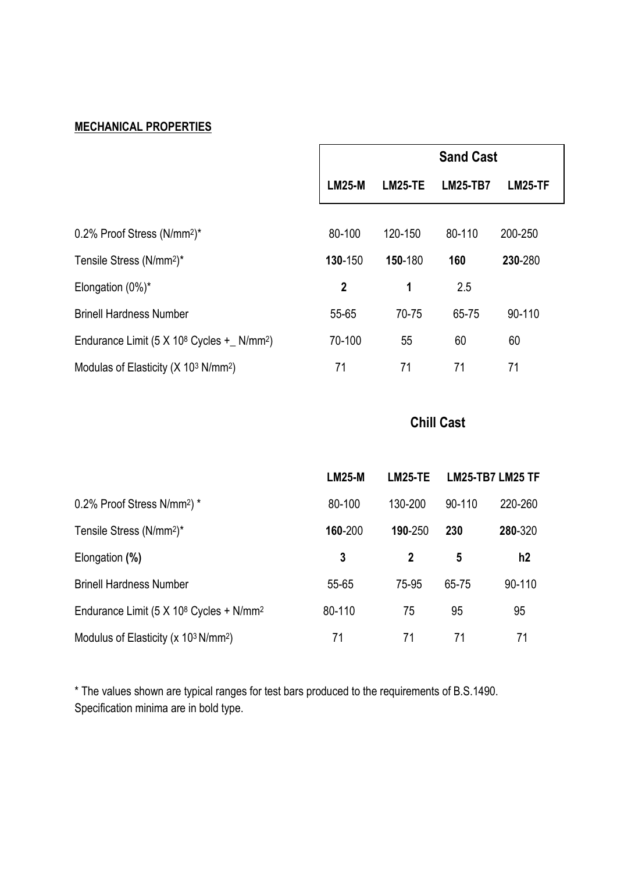# **MECHANICAL PROPERTIES**

|                                                                   | <b>Sand Cast</b> |                |                 |                |
|-------------------------------------------------------------------|------------------|----------------|-----------------|----------------|
|                                                                   | <b>LM25-M</b>    | <b>LM25-TE</b> | <b>LM25-TB7</b> | <b>LM25-TF</b> |
| 0.2% Proof Stress (N/mm <sup>2</sup> )*                           | 80-100           | 120-150        | 80-110          | 200-250        |
| Tensile Stress (N/mm <sup>2</sup> )*                              | 130-150          | 150-180        | 160             | 230-280        |
| Elongation $(0\%)^*$                                              | $\mathbf 2$      | 1              | 2.5             |                |
| <b>Brinell Hardness Number</b>                                    | 55-65            | 70-75          | 65-75           | 90-110         |
| Endurance Limit $(5 \times 10^8 \text{ Cycles} + \text{ N/mm}^2)$ | 70-100           | 55             | 60              | 60             |
| Modulas of Elasticity ( $X$ 10 <sup>3</sup> N/mm <sup>2</sup> )   | 71               | 71             | 71              | 71             |

# **Chill Cast**

|                                                                 | <b>LM25-M</b> | LM25-TE |        | <b>LM25-TB7 LM25 TF</b> |
|-----------------------------------------------------------------|---------------|---------|--------|-------------------------|
| 0.2% Proof Stress N/mm <sup>2</sup> ) *                         | 80-100        | 130-200 | 90-110 | 220-260                 |
| Tensile Stress (N/mm <sup>2</sup> )*                            | 160-200       | 190-250 | 230    | 280-320                 |
| Elongation (%)                                                  | 3             | 2       | 5      | h2                      |
| <b>Brinell Hardness Number</b>                                  | 55-65         | 75-95   | 65-75  | 90-110                  |
| Endurance Limit (5 X 10 <sup>8</sup> Cycles + N/mm <sup>2</sup> | 80-110        | 75      | 95     | 95                      |
| Modulus of Elasticity (x $103 N/mm2$ )                          | 71            | 71      | 71     | 71                      |

\* The values shown are typical ranges for test bars produced to the requirements of B.S.1490. Specification minima are in bold type.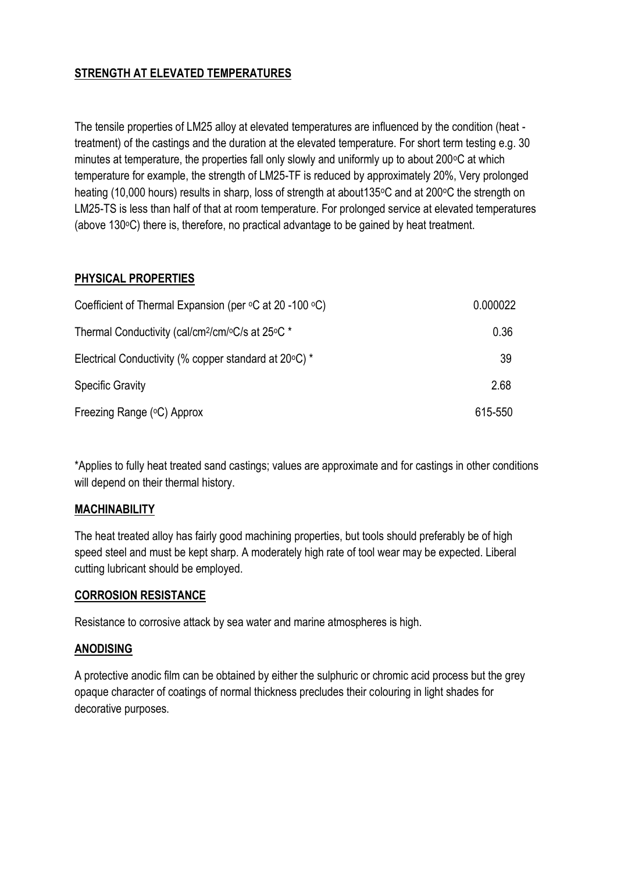## **STRENGTH AT ELEVATED TEMPERATURES**

The tensile properties of LM25 alloy at elevated temperatures are influenced by the condition (heat treatment) of the castings and the duration at the elevated temperature. For short term testing e.g. 30 minutes at temperature, the properties fall only slowly and uniformly up to about 200°C at which temperature for example, the strength of LM25-TF is reduced by approximately 20%, Very prolonged heating (10,000 hours) results in sharp, loss of strength at about 135 °C and at 200 °C the strength on LM25-TS is less than half of that at room temperature. For prolonged service at elevated temperatures (above  $130^{\circ}$ C) there is, therefore, no practical advantage to be gained by heat treatment.

### **PHYSICAL PROPERTIES**

| Coefficient of Thermal Expansion (per $\circ$ C at 20 -100 $\circ$ C)        | 0.000022 |
|------------------------------------------------------------------------------|----------|
| Thermal Conductivity (cal/cm <sup>2</sup> /cm/ $\rm ^oC/s$ at 25 $\rm ^oC$ * | 0.36     |
| Electrical Conductivity (% copper standard at 20°C) *                        | 39       |
| <b>Specific Gravity</b>                                                      | 2.68     |
| Freezing Range (°C) Approx                                                   | 615-550  |

\*Applies to fully heat treated sand castings; values are approximate and for castings in other conditions will depend on their thermal history.

#### **MACHINABILITY**

The heat treated alloy has fairly good machining properties, but tools should preferably be of high speed steel and must be kept sharp. A moderately high rate of tool wear may be expected. Liberal cutting lubricant should be employed.

#### **CORROSION RESISTANCE**

Resistance to corrosive attack by sea water and marine atmospheres is high.

#### **ANODISING**

A protective anodic film can be obtained by either the sulphuric or chromic acid process but the grey opaque character of coatings of normal thickness precludes their colouring in light shades for decorative purposes.